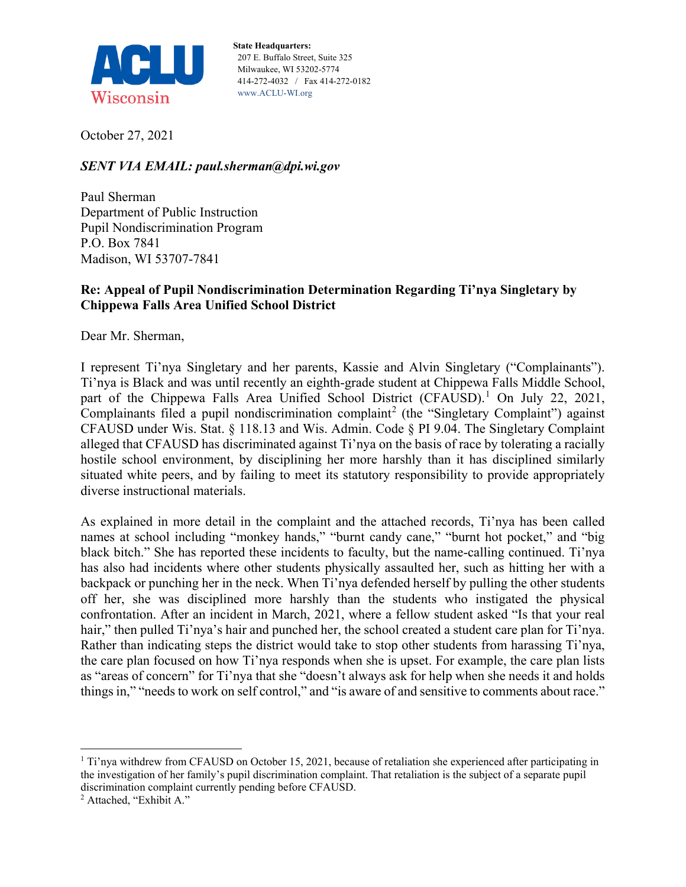

**State Headquarters:** 207 E. Buffalo Street, Suite 325 Milwaukee, WI 53202-5774 414-272-4032 / Fax 414-272-0182 www.ACLU-WI.org

October 27, 2021

## *SENT VIA EMAIL: paul.sherman@dpi.wi.gov*

Paul Sherman Department of Public Instruction Pupil Nondiscrimination Program P.O. Box 7841 Madison, WI 53707-7841

## **Re: Appeal of Pupil Nondiscrimination Determination Regarding Ti'nya Singletary by Chippewa Falls Area Unified School District**

Dear Mr. Sherman,

I represent Ti'nya Singletary and her parents, Kassie and Alvin Singletary ("Complainants"). Ti'nya is Black and was until recently an eighth-grade student at Chippewa Falls Middle School, part of the Chippewa Falls Area Unified School District (CFAUSD).<sup>[1](#page-0-0)</sup> On July 22, 2021, Complainants filed a pupil nondiscrimination complaint<sup>[2](#page-0-1)</sup> (the "Singletary Complaint") against CFAUSD under Wis. Stat. § 118.13 and Wis. Admin. Code § PI 9.04. The Singletary Complaint alleged that CFAUSD has discriminated against Ti'nya on the basis of race by tolerating a racially hostile school environment, by disciplining her more harshly than it has disciplined similarly situated white peers, and by failing to meet its statutory responsibility to provide appropriately diverse instructional materials.

As explained in more detail in the complaint and the attached records, Ti'nya has been called names at school including "monkey hands," "burnt candy cane," "burnt hot pocket," and "big black bitch." She has reported these incidents to faculty, but the name-calling continued. Ti'nya has also had incidents where other students physically assaulted her, such as hitting her with a backpack or punching her in the neck. When Ti'nya defended herself by pulling the other students off her, she was disciplined more harshly than the students who instigated the physical confrontation. After an incident in March, 2021, where a fellow student asked "Is that your real hair," then pulled Ti'nya's hair and punched her, the school created a student care plan for Ti'nya. Rather than indicating steps the district would take to stop other students from harassing Ti'nya, the care plan focused on how Ti'nya responds when she is upset. For example, the care plan lists as "areas of concern" for Ti'nya that she "doesn't always ask for help when she needs it and holds things in," "needs to work on self control," and "is aware of and sensitive to comments about race."

<span id="page-0-0"></span> <sup>1</sup> Ti'nya withdrew from CFAUSD on October 15, 2021, because of retaliation she experienced after participating in the investigation of her family's pupil discrimination complaint. That retaliation is the subject of a separate pupil discrimination complaint currently pending before CFAUSD.

<span id="page-0-1"></span><sup>2</sup> Attached, "Exhibit A."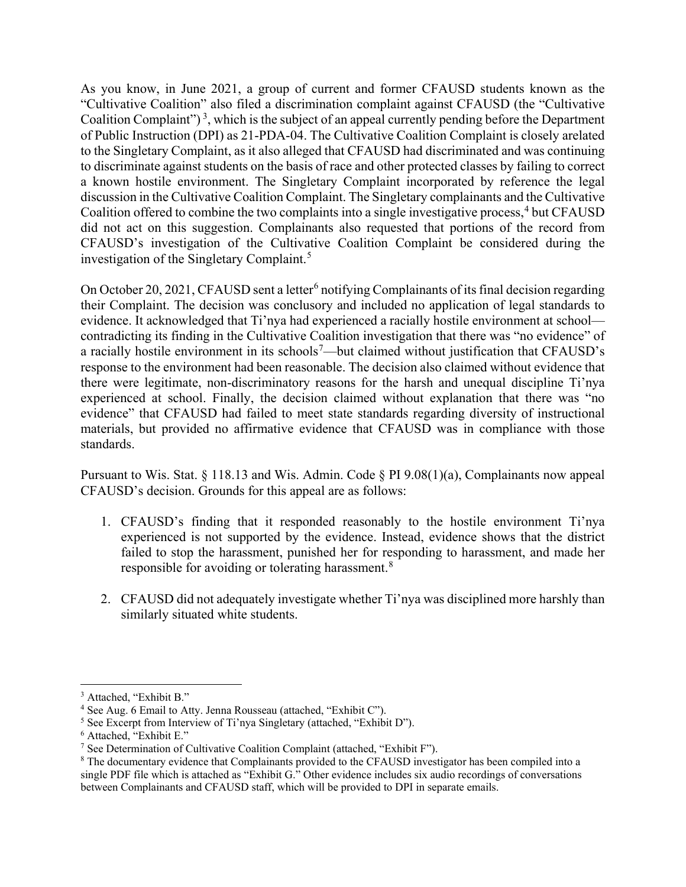As you know, in June 2021, a group of current and former CFAUSD students known as the "Cultivative Coalition" also filed a discrimination complaint against CFAUSD (the "Cultivative Coalition Complaint")<sup>[3](#page-1-0)</sup>, which is the subject of an appeal currently pending before the Department of Public Instruction (DPI) as 21-PDA-04. The Cultivative Coalition Complaint is closely arelated to the Singletary Complaint, as it also alleged that CFAUSD had discriminated and was continuing to discriminate against students on the basis of race and other protected classes by failing to correct a known hostile environment. The Singletary Complaint incorporated by reference the legal discussion in the Cultivative Coalition Complaint. The Singletary complainants and the Cultivative Coalition offered to combine the two complaints into a single investigative process, [4](#page-1-1) but CFAUSD did not act on this suggestion. Complainants also requested that portions of the record from CFAUSD's investigation of the Cultivative Coalition Complaint be considered during the investigation of the Singletary Complaint.<sup>[5](#page-1-2)</sup>

On October 20, 2021, CFAUSD sent a letter<sup>[6](#page-1-3)</sup> notifying Complainants of its final decision regarding their Complaint. The decision was conclusory and included no application of legal standards to evidence. It acknowledged that Ti'nya had experienced a racially hostile environment at school contradicting its finding in the Cultivative Coalition investigation that there was "no evidence" of a racially hostile environment in its schools<sup>[7](#page-1-4)</sup>—but claimed without justification that CFAUSD's response to the environment had been reasonable. The decision also claimed without evidence that there were legitimate, non-discriminatory reasons for the harsh and unequal discipline Ti'nya experienced at school. Finally, the decision claimed without explanation that there was "no evidence" that CFAUSD had failed to meet state standards regarding diversity of instructional materials, but provided no affirmative evidence that CFAUSD was in compliance with those standards.

Pursuant to Wis. Stat. § 118.13 and Wis. Admin. Code § PI 9.08(1)(a), Complainants now appeal CFAUSD's decision. Grounds for this appeal are as follows:

- 1. CFAUSD's finding that it responded reasonably to the hostile environment Ti'nya experienced is not supported by the evidence. Instead, evidence shows that the district failed to stop the harassment, punished her for responding to harassment, and made her responsible for avoiding or tolerating harassment. $8$
- 2. CFAUSD did not adequately investigate whether Ti'nya was disciplined more harshly than similarly situated white students.

<span id="page-1-0"></span> <sup>3</sup> Attached, "Exhibit B."

<span id="page-1-1"></span><sup>4</sup> See Aug. 6 Email to Atty. Jenna Rousseau (attached, "Exhibit C").

<span id="page-1-2"></span><sup>&</sup>lt;sup>5</sup> See Excerpt from Interview of Ti'nya Singletary (attached, "Exhibit D").

<span id="page-1-3"></span><sup>6</sup> Attached, "Exhibit E."

<span id="page-1-4"></span><sup>&</sup>lt;sup>7</sup> See Determination of Cultivative Coalition Complaint (attached, "Exhibit F").

<span id="page-1-5"></span><sup>8</sup> The documentary evidence that Complainants provided to the CFAUSD investigator has been compiled into a single PDF file which is attached as "Exhibit G." Other evidence includes six audio recordings of conversations between Complainants and CFAUSD staff, which will be provided to DPI in separate emails.